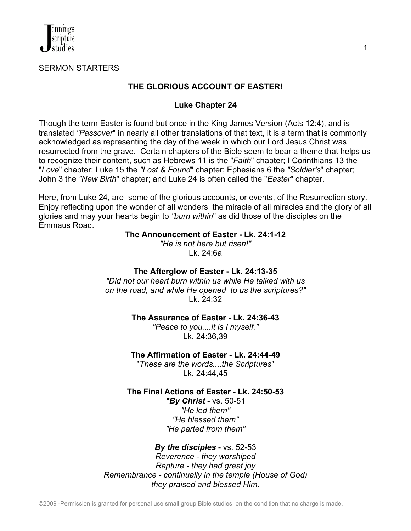

SERMON STARTERS

## **THE GLORIOUS ACCOUNT OF EASTER!**

## **Luke Chapter 24**

Though the term Easter is found but once in the King James Version (Acts 12:4), and is translated *"Passover*" in nearly all other translations of that text, it is a term that is commonly acknowledged as representing the day of the week in which our Lord Jesus Christ was resurrected from the grave. Certain chapters of the Bible seem to bear a theme that helps us to recognize their content, such as Hebrews 11 is the "*Faith*" chapter; I Corinthians 13 the "*Love*" chapter; Luke 15 the *"Lost & Found*" chapter; Ephesians 6 the *"Soldier's*" chapter; John 3 the *"New Birth*" chapter; and Luke 24 is often called the "*Easter*" chapter.

Here, from Luke 24, are some of the glorious accounts, or events, of the Resurrection story. Enjoy reflecting upon the wonder of all wonders the miracle of all miracles and the glory of all glories and may your hearts begin to *"burn within*" as did those of the disciples on the Emmaus Road.

#### **The Announcement of Easter - Lk. 24:1-12**

*"He is not here but risen!"* Lk. 24:6a

### **The Afterglow of Easter - Lk. 24:13-35**

*"Did not our heart burn within us while He talked with us on the road, and while He opened to us the scriptures?"* Lk. 24:32

**The Assurance of Easter - Lk. 24:36-43**

*"Peace to you....it is I myself."* Lk. 24:36,39

## **The Affirmation of Easter - Lk. 24:44-49**

"*These are the words....the Scriptures*" Lk. 24:44,45

**The Final Actions of Easter - Lk. 24:50-53**

*"By Christ* - vs. 50-51 *"He led them" "He blessed them" "He parted from them"*

# *By the disciples* - vs. 52-53

*Reverence - they worshiped Rapture - they had great joy Remembrance - continually in the temple (House of God) they praised and blessed Him.*